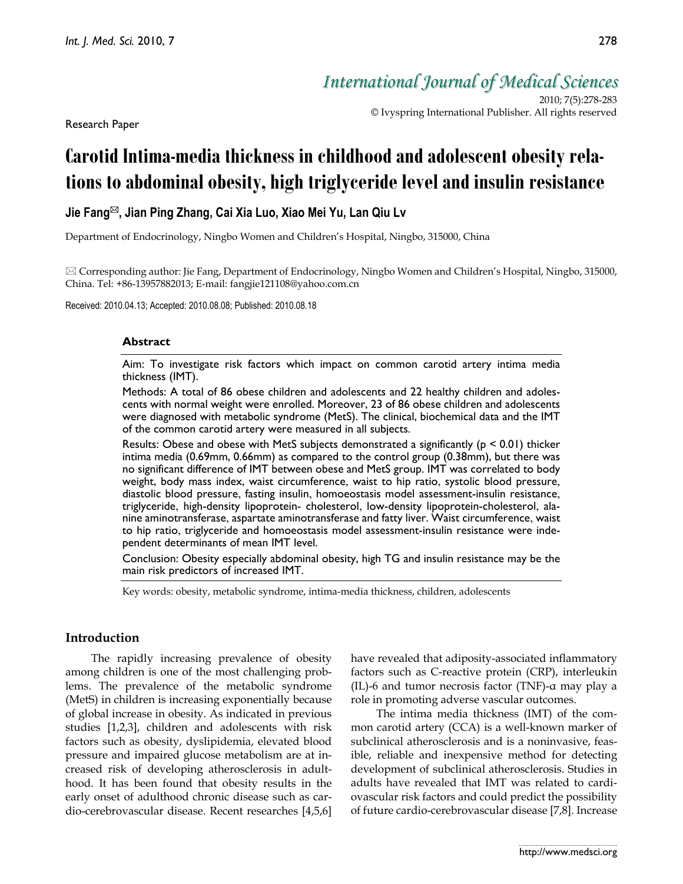Research Paper

*International Journal of Medical Sciences*

2010; 7(5):278-283 © Ivyspring International Publisher. All rights reserved

# **Carotid Intima-media thickness in childhood and adolescent obesity relations to abdominal obesity, high triglyceride level and insulin resistance**

# **Jie Fang , Jian Ping Zhang, Cai Xia Luo, Xiao Mei Yu, Lan Qiu Lv**

Department of Endocrinology, Ningbo Women and Children's Hospital, Ningbo, 315000, China

 $\boxtimes$  Corresponding author: Jie Fang, Department of Endocrinology, Ningbo Women and Children's Hospital, Ningbo, 315000, China. Tel: +86-13957882013; E-mail: fangjie121108@yahoo.com.cn

Received: 2010.04.13; Accepted: 2010.08.08; Published: 2010.08.18

#### **Abstract**

Aim: To investigate risk factors which impact on common carotid artery intima media thickness (IMT).

Methods: A total of 86 obese children and adolescents and 22 healthy children and adolescents with normal weight were enrolled. Moreover, 23 of 86 obese children and adolescents were diagnosed with metabolic syndrome (MetS). The clinical, biochemical data and the IMT of the common carotid artery were measured in all subjects.

Results: Obese and obese with MetS subjects demonstrated a significantly ( $p \le 0.01$ ) thicker intima media (0.69mm, 0.66mm) as compared to the control group (0.38mm), but there was no significant difference of IMT between obese and MetS group. IMT was correlated to body weight, body mass index, waist circumference, waist to hip ratio, systolic blood pressure, diastolic blood pressure, fasting insulin, homoeostasis model assessment-insulin resistance, triglyceride, high-density lipoprotein- cholesterol, low-density lipoprotein-cholesterol, alanine aminotransferase, aspartate aminotransferase and fatty liver. Waist circumference, waist to hip ratio, triglyceride and homoeostasis model assessment-insulin resistance were independent determinants of mean IMT level.

Conclusion: Obesity especially abdominal obesity, high TG and insulin resistance may be the main risk predictors of increased IMT.

Key words: obesity, metabolic syndrome, intima-media thickness, children, adolescents

# **Introduction**

The rapidly increasing prevalence of obesity among children is one of the most challenging problems. The prevalence of the metabolic syndrome (MetS) in children is increasing exponentially because of global increase in obesity. As indicated in previous studies [1,2,3], children and adolescents with risk factors such as obesity, dyslipidemia, elevated blood pressure and impaired glucose metabolism are at increased risk of developing atherosclerosis in adulthood. It has been found that obesity results in the early onset of adulthood chronic disease such as cardio-cerebrovascular disease. Recent researches [4,5,6] have revealed that adiposity-associated inflammatory factors such as C-reactive protein (CRP), interleukin (IL)-6 and tumor necrosis factor (TNF)-α may play a role in promoting adverse vascular outcomes.

The intima media thickness (IMT) of the common carotid artery (CCA) is a well-known marker of subclinical atherosclerosis and is a noninvasive, feasible, reliable and inexpensive method for detecting development of subclinical atherosclerosis. Studies in adults have revealed that IMT was related to cardiovascular risk factors and could predict the possibility of future cardio-cerebrovascular disease [7,8]. Increase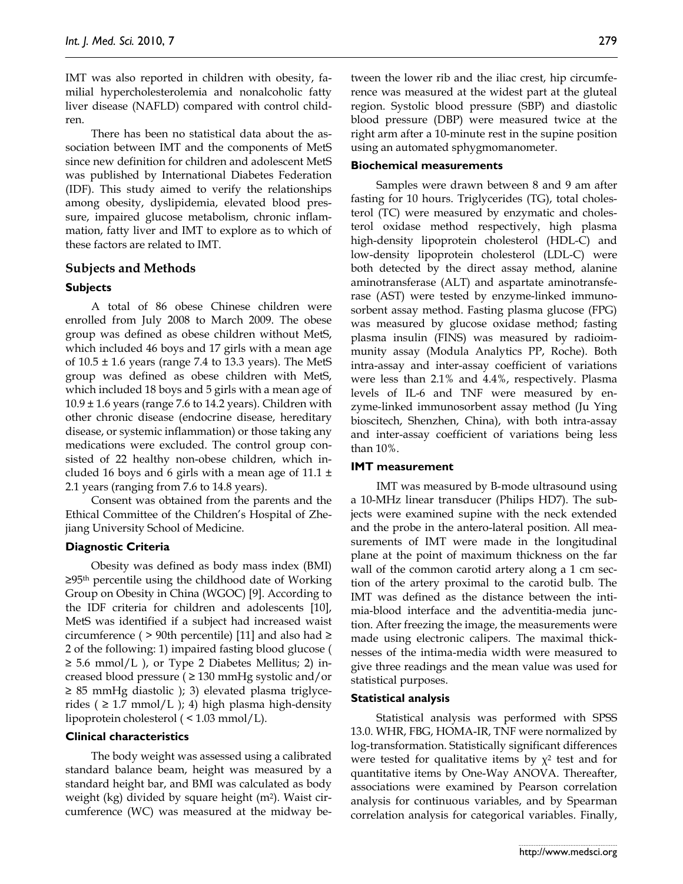IMT was also reported in children with obesity, familial hypercholesterolemia and nonalcoholic fatty liver disease (NAFLD) compared with control children.

There has been no statistical data about the association between IMT and the components of MetS since new definition for children and adolescent MetS was published by International Diabetes Federation (IDF). This study aimed to verify the relationships among obesity, dyslipidemia, elevated blood pressure, impaired glucose metabolism, chronic inflammation, fatty liver and IMT to explore as to which of these factors are related to IMT.

## **Subjects and Methods**

#### **Subjects**

A total of 86 obese Chinese children were enrolled from July 2008 to March 2009. The obese group was defined as obese children without MetS, which included 46 boys and 17 girls with a mean age of  $10.5 \pm 1.6$  years (range 7.4 to 13.3 years). The MetS group was defined as obese children with MetS, which included 18 boys and 5 girls with a mean age of  $10.9 \pm 1.6$  years (range 7.6 to 14.2 years). Children with other chronic disease (endocrine disease, hereditary disease, or systemic inflammation) or those taking any medications were excluded. The control group consisted of 22 healthy non-obese children, which included 16 boys and 6 girls with a mean age of 11.1  $\pm$ 2.1 years (ranging from 7.6 to 14.8 years).

Consent was obtained from the parents and the Ethical Committee of the Children's Hospital of Zhejiang University School of Medicine.

#### **Diagnostic Criteria**

Obesity was defined as body mass index (BMI) ≥95th percentile using the childhood date of Working Group on Obesity in China (WGOC) [9]. According to the IDF criteria for children and adolescents [10], MetS was identified if a subject had increased waist circumference (  $>$  90th percentile) [11] and also had  $\ge$ 2 of the following: 1) impaired fasting blood glucose (  $\geq$  5.6 mmol/L ), or Type 2 Diabetes Mellitus; 2) increased blood pressure ( $\geq$  130 mmHg systolic and/or ≥ 85 mmHg diastolic ); 3) elevated plasma triglycerides ( $\geq$  1.7 mmol/L ); 4) high plasma high-density lipoprotein cholesterol ( < 1.03 mmol/L).

# **Clinical characteristics**

The body weight was assessed using a calibrated standard balance beam, height was measured by a standard height bar, and BMI was calculated as body weight (kg) divided by square height (m<sup>2</sup>). Waist circumference (WC) was measured at the midway between the lower rib and the iliac crest, hip circumference was measured at the widest part at the gluteal region. Systolic blood pressure (SBP) and diastolic blood pressure (DBP) were measured twice at the right arm after a 10-minute rest in the supine position using an automated sphygmomanometer.

### **Biochemical measurements**

Samples were drawn between 8 and 9 am after fasting for 10 hours. Triglycerides (TG), total cholesterol (TC) were measured by enzymatic and cholesterol oxidase method respectively, high plasma high-density lipoprotein cholesterol (HDL-C) and low-density lipoprotein cholesterol (LDL-C) were both detected by the direct assay method, alanine aminotransferase (ALT) and aspartate aminotransferase (AST) were tested by enzyme-linked immunosorbent assay method. Fasting plasma glucose (FPG) was measured by glucose oxidase method; fasting plasma insulin (FINS) was measured by radioimmunity assay (Modula Analytics PP, Roche). Both intra-assay and inter-assay coefficient of variations were less than 2.1% and 4.4%, respectively. Plasma levels of IL-6 and TNF were measured by enzyme-linked immunosorbent assay method (Ju Ying bioscitech, Shenzhen, China), with both intra-assay and inter-assay coefficient of variations being less than 10%.

# **IMT measurement**

IMT was measured by B-mode ultrasound using a 10-MHz linear transducer (Philips HD7). The subjects were examined supine with the neck extended and the probe in the antero-lateral position. All measurements of IMT were made in the longitudinal plane at the point of maximum thickness on the far wall of the common carotid artery along a 1 cm section of the artery proximal to the carotid bulb. The IMT was defined as the distance between the intimia-blood interface and the adventitia-media junction. After freezing the image, the measurements were made using electronic calipers. The maximal thicknesses of the intima-media width were measured to give three readings and the mean value was used for statistical purposes.

#### **Statistical analysis**

Statistical analysis was performed with SPSS 13.0. WHR, FBG, HOMA-IR, TNF were normalized by log-transformation. Statistically significant differences were tested for qualitative items by  $\chi^2$  test and for quantitative items by One-Way ANOVA. Thereafter, associations were examined by Pearson correlation analysis for continuous variables, and by Spearman correlation analysis for categorical variables. Finally,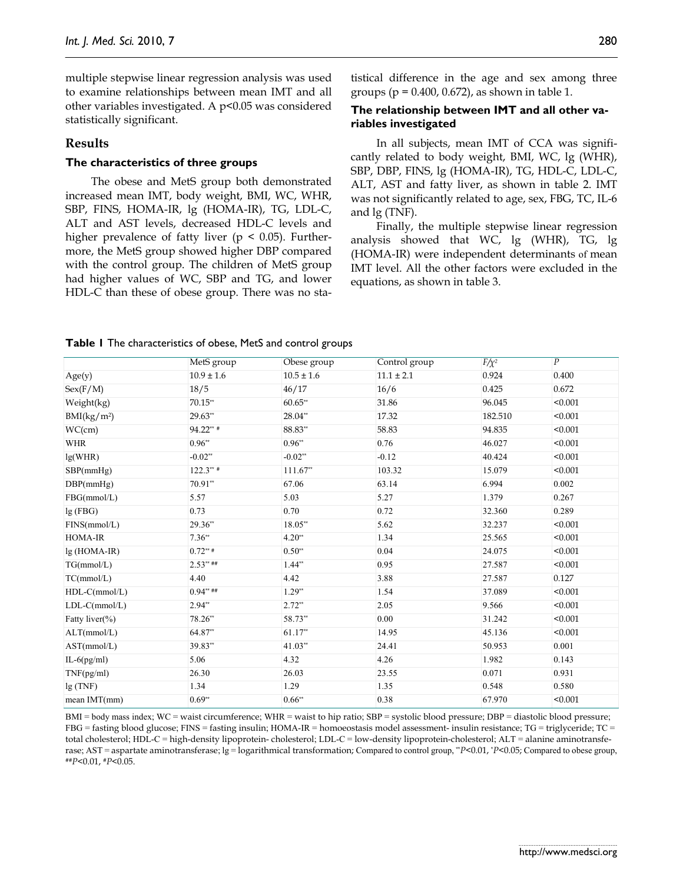multiple stepwise linear regression analysis was used to examine relationships between mean IMT and all other variables investigated. A p<0.05 was considered statistically significant.

# **Results**

### **The characteristics of three groups**

The obese and MetS group both demonstrated increased mean IMT, body weight, BMI, WC, WHR, SBP, FINS, HOMA-IR, lg (HOMA-IR), TG, LDL-C, ALT and AST levels, decreased HDL-C levels and higher prevalence of fatty liver ( $p \leq 0.05$ ). Furthermore, the MetS group showed higher DBP compared with the control group. The children of MetS group had higher values of WC, SBP and TG, and lower HDL-C than these of obese group. There was no statistical difference in the age and sex among three groups ( $p = 0.400$ , 0.672), as shown in table 1.

# **The relationship between IMT and all other variables investigated**

In all subjects, mean IMT of CCA was significantly related to body weight, BMI, WC, lg (WHR), SBP, DBP, FINS, lg (HOMA-IR), TG, HDL-C, LDL-C, ALT, AST and fatty liver, as shown in table 2. IMT was not significantly related to age, sex, FBG, TC, IL-6 and lg (TNF).

Finally, the multiple stepwise linear regression analysis showed that WC, lg (WHR), TG, lg (HOMA-IR) were independent determinants of mean IMT level. All the other factors were excluded in the equations, as shown in table 3.

|  |  | Table I The characteristics of obese, MetS and control groups |  |  |  |  |  |
|--|--|---------------------------------------------------------------|--|--|--|--|--|
|--|--|---------------------------------------------------------------|--|--|--|--|--|

|                         | MetS group     | Obese group    | Control group  | $F/\chi^2$ | $\boldsymbol{P}$ |
|-------------------------|----------------|----------------|----------------|------------|------------------|
| Age(y)                  | $10.9 \pm 1.6$ | $10.5 \pm 1.6$ | $11.1 \pm 2.1$ | 0.924      | 0.400            |
| Sex(F/M)                | 18/5           | 46/17          | 16/6           | 0.425      | 0.672            |
| Weight(kg)              | $70.15**$      | $60.65**$      | 31.86          | 96.045     | < 0.001          |
| BMI(kg/m <sup>2</sup> ) | 29.63**        | 28.04**        | 17.32          | 182.510    | < 0.001          |
| WC(cm)                  | $94.22**$      | 88.83**        | 58.83          | 94.835     | < 0.001          |
| <b>WHR</b>              | $0.96**$       | $0.96**$       | 0.76           | 46.027     | < 0.001          |
| lg(WHR)                 | $-0.02**$      | $-0.02**$      | $-0.12$        | 40.424     | < 0.001          |
| SBP(mmHg)               | $122.3***$     | $111.67**$     | 103.32         | 15.079     | < 0.001          |
| DBP(mmHg)               | 70.91**        | 67.06          | 63.14          | 6.994      | 0.002            |
| FBG(mmol/L)             | 5.57           | 5.03           | 5.27           | 1.379      | 0.267            |
| lg(FBG)                 | 0.73           | 0.70           | 0.72           | 32.360     | 0.289            |
| FINS(mmol/L)            | 29.36**        | 18.05**        | 5.62           | 32.237     | < 0.001          |
| HOMA-IR                 | $7.36**$       | $4.20**$       | 1.34           | 25.565     | < 0.001          |
| $lg(HOMA-IR)$           | $0.72***$      | $0.50**$       | 0.04           | 24.075     | < 0.001          |
| TG(mmol/L)              | $2.53***$ ##   | $1.44**$       | 0.95           | 27.587     | < 0.001          |
| TC(mmol/L)              | 4.40           | 4.42           | 3.88           | 27.587     | 0.127            |
| $HDL-C(mmol/L)$         | $0.94***$ ##   | $1.29**$       | 1.54           | 37.089     | < 0.001          |
| $LDL-C(mmol/L)$         | $2.94**$       | $2.72**$       | 2.05           | 9.566      | < 0.001          |
| Fatty liver(%)          | 78.26**        | 58.73**        | 0.00           | 31.242     | < 0.001          |
| ALT(mmol/L)             | 64.87**        | $61.17**$      | 14.95          | 45.136     | < 0.001          |
| AST(mmol/L)             | 39.83**        | $41.03**$      | 24.41          | 50.953     | 0.001            |
| $IL-6(pg/ml)$           | 5.06           | 4.32           | 4.26           | 1.982      | 0.143            |
| TNF(pg/ml)              | 26.30          | 26.03          | 23.55          | 0.071      | 0.931            |
| lg(TNF)                 | 1.34           | 1.29           | 1.35           | 0.548      | 0.580            |
| mean $IMT(mm)$          | $0.69**$       | $0.66**$       | 0.38           | 67.970     | < 0.001          |

BMI = body mass index; WC = waist circumference; WHR = waist to hip ratio; SBP = systolic blood pressure; DBP = diastolic blood pressure; FBG = fasting blood glucose; FINS = fasting insulin; HOMA-IR = homoeostasis model assessment- insulin resistance; TG = triglyceride; TC = total cholesterol; HDL-C = high-density lipoprotein- cholesterol; LDL-C = low-density lipoprotein-cholesterol; ALT = alanine aminotransferase; AST = aspartate aminotransferase;  $lg$  = logarithmical transformation; Compared to control group, \**P*<0.01, \**P*<0.05; Compared to obese group, ##*P*<0.01, #*P*<0.05.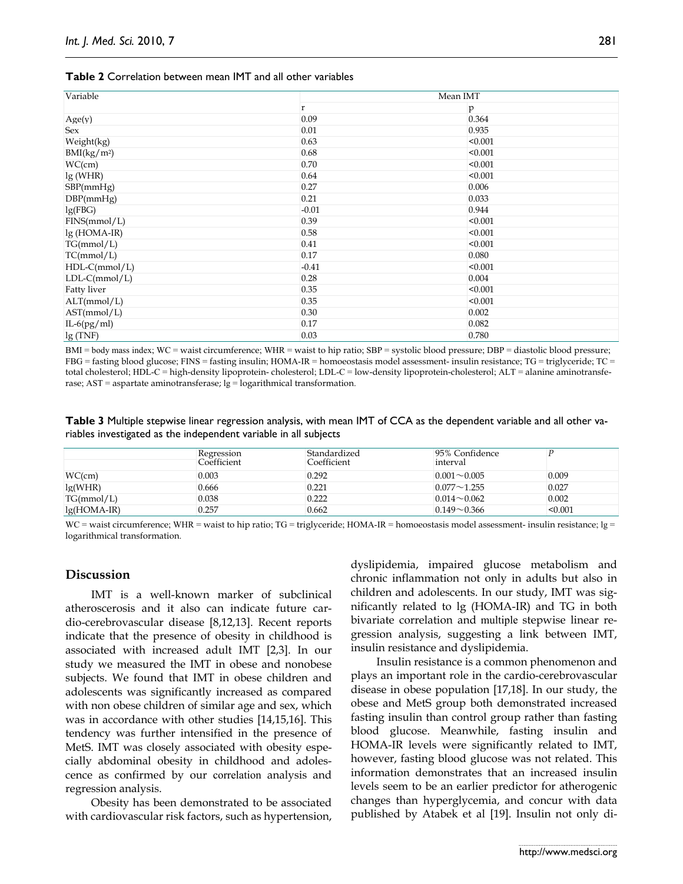| <b>Table 2</b> Correlation between mean IMT and all other variables |  |  |
|---------------------------------------------------------------------|--|--|
|---------------------------------------------------------------------|--|--|

| Variable                | Mean IMT |         |  |  |
|-------------------------|----------|---------|--|--|
|                         | r        | p       |  |  |
| Age(y)                  | 0.09     | 0.364   |  |  |
| Sex                     | 0.01     | 0.935   |  |  |
| Weight(kg)              | 0.63     | < 0.001 |  |  |
| BMI(kg/m <sup>2</sup> ) | 0.68     | < 0.001 |  |  |
| WC(cm)                  | 0.70     | < 0.001 |  |  |
| lg(WHR)                 | 0.64     | < 0.001 |  |  |
| SBP(mmHg)               | 0.27     | 0.006   |  |  |
| DBP(mmHg)               | 0.21     | 0.033   |  |  |
| lg(FBG)                 | $-0.01$  | 0.944   |  |  |
| FINS(mmol/L)            | 0.39     | < 0.001 |  |  |
| $lg(HOMA-IR)$           | 0.58     | < 0.001 |  |  |
| TG(mmol/L)              | 0.41     | < 0.001 |  |  |
| TC(mmol/L)              | 0.17     | 0.080   |  |  |
| $HDL-C(mmol/L)$         | $-0.41$  | < 0.001 |  |  |
| $LDL-C(mmol/L)$         | 0.28     | 0.004   |  |  |
| <b>Fatty liver</b>      | 0.35     | < 0.001 |  |  |
| ALT(mmol/L)             | 0.35     | < 0.001 |  |  |
| AST(mmol/L)             | 0.30     | 0.002   |  |  |
| $IL-6(pg/ml)$           | 0.17     | 0.082   |  |  |
| lg(TNF)                 | 0.03     | 0.780   |  |  |

BMI = body mass index; WC = waist circumference; WHR = waist to hip ratio; SBP = systolic blood pressure; DBP = diastolic blood pressure; FBG = fasting blood glucose; FINS = fasting insulin; HOMA-IR = homoeostasis model assessment- insulin resistance; TG = triglyceride; TC = total cholesterol; HDL-C = high-density lipoprotein- cholesterol; LDL-C = low-density lipoprotein-cholesterol; ALT = alanine aminotransferase; AST = aspartate aminotransferase; lg = logarithmical transformation.

**Table 3** Multiple stepwise linear regression analysis, with mean IMT of CCA as the dependent variable and all other variables investigated as the independent variable in all subjects

|               | Regression<br>Coefficient | Standardized<br>Coefficient | 95% Confidence<br>interval |         |
|---------------|---------------------------|-----------------------------|----------------------------|---------|
| WC(cm)        | 0.003                     | 0.292                       | $0.001 - 0.005$            | 0.009   |
| lg(WHR)       | 0.666                     | 0.221                       | $0.077 - 1.255$            | 0.027   |
| TG(mmol/L)    | 0.038                     | 0.222                       | $0.014 \sim 0.062$         | 0.002   |
| $lg(HOMA-IR)$ | 0.257                     | 0.662                       | $0.149 \sim 0.366$         | < 0.001 |

WC = waist circumference; WHR = waist to hip ratio; TG = triglyceride; HOMA-IR = homoeostasis model assessment- insulin resistance; lg = logarithmical transformation.

# **Discussion**

IMT is a well-known marker of subclinical atheroscerosis and it also can indicate future cardio-cerebrovascular disease [8,12,13]. Recent reports indicate that the presence of obesity in childhood is associated with increased adult IMT [2,3]. In our study we measured the IMT in obese and nonobese subjects. We found that IMT in obese children and adolescents was significantly increased as compared with non obese children of similar age and sex, which was in accordance with other studies [14,15,16]. This tendency was further intensified in the presence of MetS. IMT was closely associated with obesity especially abdominal obesity in childhood and adolescence as confirmed by our correlation analysis and regression analysis.

Obesity has been demonstrated to be associated with cardiovascular risk factors, such as hypertension, dyslipidemia, impaired glucose metabolism and chronic inflammation not only in adults but also in children and adolescents. In our study, IMT was significantly related to lg (HOMA-IR) and TG in both bivariate correlation and multiple stepwise linear regression analysis, suggesting a link between IMT, insulin resistance and dyslipidemia.

Insulin resistance is a common phenomenon and plays an important role in the cardio-cerebrovascular disease in obese population [17,18]. In our study, the obese and MetS group both demonstrated increased fasting insulin than control group rather than fasting blood glucose. Meanwhile, fasting insulin and HOMA-IR levels were significantly related to IMT, however, fasting blood glucose was not related. This information demonstrates that an increased insulin levels seem to be an earlier predictor for atherogenic changes than hyperglycemia, and concur with data published by Atabek et al [19]. Insulin not only di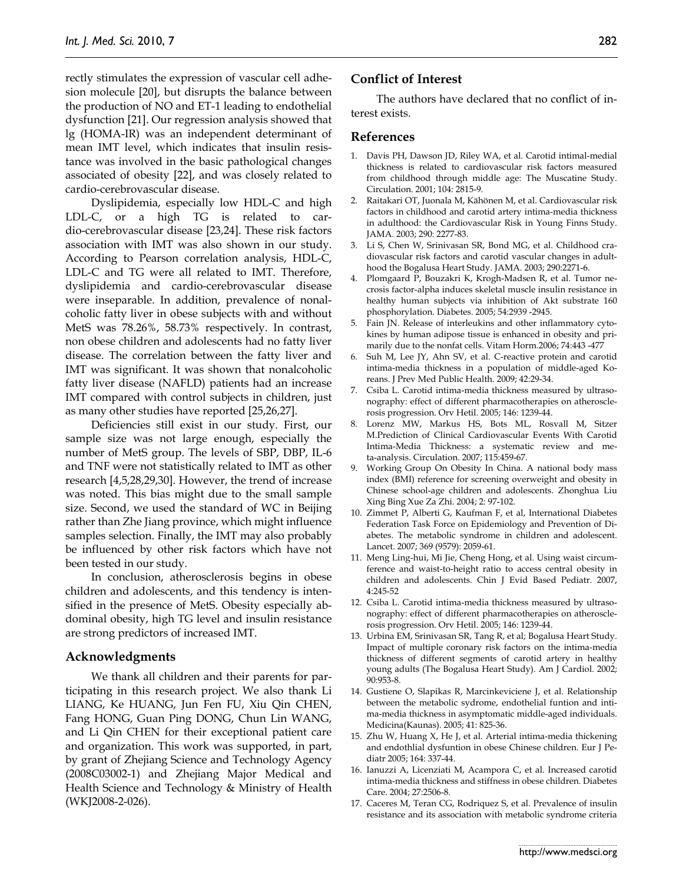rectly stimulates the expression of vascular cell adhesion molecule [20], but disrupts the balance between the production of NO and ET-1 leading to endothelial dysfunction [21]. Our regression analysis showed that lg (HOMA-IR) was an independent determinant of mean IMT level, which indicates that insulin resistance was involved in the basic pathological changes associated of obesity [22], and was closely related to cardio-cerebrovascular disease.

Dyslipidemia, especially low HDL-C and high LDL-C, or a high TG is related to cardio-cerebrovascular disease [23,24]. These risk factors association with IMT was also shown in our study. According to Pearson correlation analysis, HDL-C, LDL-C and TG were all related to IMT. Therefore, dyslipidemia and cardio-cerebrovascular disease were inseparable. In addition, prevalence of nonalcoholic fatty liver in obese subjects with and without MetS was 78.26%, 58.73% respectively. In contrast, non obese children and adolescents had no fatty liver disease. The correlation between the fatty liver and IMT was significant. It was shown that nonalcoholic fatty liver disease (NAFLD) patients had an increase IMT compared with control subjects in children, just as many other studies have reported [25,26,27].

Deficiencies still exist in our study. First, our sample size was not large enough, especially the number of MetS group. The levels of SBP, DBP, IL-6 and TNF were not statistically related to IMT as other research [4,5,28,29,30]. However, the trend of increase was noted. This bias might due to the small sample size. Second, we used the standard of WC in Beijing rather than Zhe Jiang province, which might influence samples selection. Finally, the IMT may also probably be influenced by other risk factors which have not been tested in our study.

In conclusion, atherosclerosis begins in obese children and adolescents, and this tendency is intensified in the presence of MetS. Obesity especially abdominal obesity, high TG level and insulin resistance are strong predictors of increased IMT.

#### **Acknowledgments**

We thank all children and their parents for participating in this research project. We also thank Li LIANG, Ke HUANG, Jun Fen FU, Xiu Qin CHEN, Fang HONG, Guan Ping DONG, Chun Lin WANG, and Li Qin CHEN for their exceptional patient care and organization. This work was supported, in part, by grant of Zhejiang Science and Technology Agency (2008C03002-1) and Zhejiang Major Medical and Health Science and Technology & Ministry of Health (WKJ2008-2-026).

# **Conflict of Interest**

The authors have declared that no conflict of interest exists.

#### **References**

- 1. Davis PH, Dawson JD, Riley WA, et al. Carotid intimal-medial thickness is related to cardiovascular risk factors measured from childhood through middle age: The Muscatine Study. Circulation. 2001; 104: 2815-9.
- 2. Raitakari OT, Juonala M, Kähönen M, et al. Cardiovascular risk factors in childhood and carotid artery intima-media thickness in adulthood: the Cardiovascular Risk in Young Finns Study. JAMA. 2003; 290: 2277-83.
- 3. Li S, Chen W, Srinivasan SR, Bond MG, et al. Childhood cradiovascular risk factors and carotid vascular changes in adulthood the Bogalusa Heart Study. JAMA. 2003; 290:2271-6.
- 4. Plomgaard P, Bouzakri K, Krogh-Madsen R, et al. Tumor necrosis factor-alpha induces skeletal muscle insulin resistance in healthy human subjects via inhibition of Akt substrate 160 phosphorylation. Diabetes. 2005; 54:2939 -2945.
- 5. Fain JN. Release of interleukins and other inflammatory cytokines by human adipose tissue is enhanced in obesity and primarily due to the nonfat cells. Vitam Horm.2006; 74:443 -477
- 6. Suh M, Lee JY, Ahn SV, et al. C-reactive protein and carotid intima-media thickness in a population of middle-aged Koreans. J Prev Med Public Health. 2009; 42:29-34.
- 7. Csiba L. Carotid intima-media thickness measured by ultrasonography: effect of different pharmacotherapies on atherosclerosis progression. Orv Hetil. 2005; 146: 1239-44.
- 8. Lorenz MW, Markus HS, Bots ML, Rosvall M, Sitzer M.Prediction of Clinical Cardiovascular Events With Carotid Intima-Media Thickness: a systematic review and meta-analysis. Circulation. 2007; 115:459-67.
- 9. Working Group On Obesity In China. A national body mass index (BMI) reference for screening overweight and obesity in Chinese school-age children and adolescents. Zhonghua Liu Xing Bing Xue Za Zhi. 2004; 2: 97-102.
- 10. Zimmet P, Alberti G, Kaufman F, et al, International Diabetes Federation Task Force on Epidemiology and Prevention of Diabetes. The metabolic syndrome in children and adolescent. Lancet. 2007; 369 (9579): 2059-61.
- 11. Meng Ling-hui, Mi Jie, Cheng Hong, et al. Using waist circumference and waist-to-height ratio to access central obesity in children and adolescents. Chin J Evid Based Pediatr. 2007, 4:245-52
- 12. Csiba L. Carotid intima-media thickness measured by ultrasonography: effect of different pharmacotherapies on atherosclerosis progression. Orv Hetil. 2005; 146: 1239-44.
- 13. Urbina EM, Srinivasan SR, Tang R, et al; Bogalusa Heart Study. Impact of multiple coronary risk factors on the intima-media thickness of different segments of carotid artery in healthy young adults (The Bogalusa Heart Study). Am J Cardiol. 2002; 90:953-8.
- 14. Gustiene O, Slapikas R, Marcinkeviciene J, et al. Relationship between the metabolic sydrome, endothelial funtion and intima-media thickness in asymptomatic middle-aged individuals. Medicina(Kaunas). 2005; 41: 825-36.
- 15. Zhu W, Huang X, He J, et al. Arterial intima-media thickening and endothlial dysfuntion in obese Chinese children. Eur J Pediatr 2005; 164: 337-44.
- 16. Ianuzzi A, Licenziati M, Acampora C, et al. Increased carotid intima-media thickness and stiffness in obese children. Diabetes Care. 2004; 27:2506-8.
- 17. Caceres M, Teran CG, Rodriquez S, et al. Prevalence of insulin resistance and its association with metabolic syndrome criteria